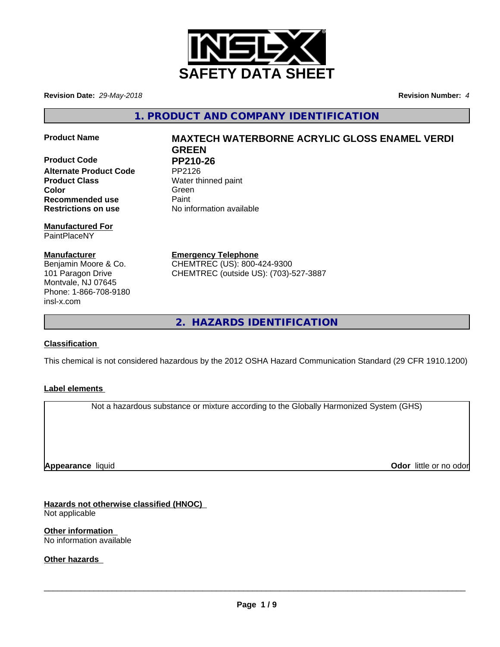

**Revision Date:** *29-May-2018* **Revision Number:** *4*

**1. PRODUCT AND COMPANY IDENTIFICATION**

**Product Code PP210-26**<br>Alternate Product Code PP2126 **Alternate Product Code Product Class** Water thinned paint **Color** Green **Green** Green **Green Recommended use** Paint **Restrictions on use** No information available

**Manufactured For** PaintPlaceNY

**Manufacturer** Benjamin Moore & Co. 101 Paragon Drive Montvale, NJ 07645 Phone: 1-866-708-9180 insl-x.com

**Product Name MAXTECH WATERBORNE ACRYLIC GLOSS ENAMEL VERDI GREEN**

**Emergency Telephone** CHEMTREC (US): 800-424-9300 CHEMTREC (outside US): (703)-527-3887

**2. HAZARDS IDENTIFICATION**

# **Classification**

This chemical is not considered hazardous by the 2012 OSHA Hazard Communication Standard (29 CFR 1910.1200)

# **Label elements**

Not a hazardous substance or mixture according to the Globally Harmonized System (GHS)

**Appearance** liquid

**Odor** little or no odor

**Hazards not otherwise classified (HNOC)** Not applicable

**Other information** No information available

**Other hazards**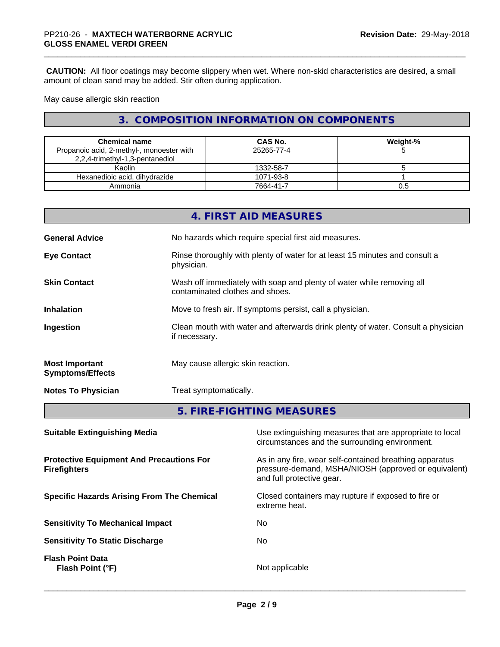**CAUTION:** All floor coatings may become slippery when wet. Where non-skid characteristics are desired, a small amount of clean sand may be added. Stir often during application.

May cause allergic skin reaction

# **3. COMPOSITION INFORMATION ON COMPONENTS**

| <b>Chemical name</b>                      | CAS No.    | Weight-% |
|-------------------------------------------|------------|----------|
| Propanoic acid, 2-methyl-, monoester with | 25265-77-4 |          |
| 2,2,4-trimethyl-1,3-pentanediol           |            |          |
| Kaolin                                    | 1332-58-7  |          |
| Hexanedioic acid, dihydrazide             | 1071-93-8  |          |
| Ammonia                                   | 7664-41-7  | U.5      |

|                                                  | 4. FIRST AID MEASURES                                                                                    |
|--------------------------------------------------|----------------------------------------------------------------------------------------------------------|
| <b>General Advice</b>                            | No hazards which require special first aid measures.                                                     |
| <b>Eye Contact</b>                               | Rinse thoroughly with plenty of water for at least 15 minutes and consult a<br>physician.                |
| <b>Skin Contact</b>                              | Wash off immediately with soap and plenty of water while removing all<br>contaminated clothes and shoes. |
| <b>Inhalation</b>                                | Move to fresh air. If symptoms persist, call a physician.                                                |
| Ingestion                                        | Clean mouth with water and afterwards drink plenty of water. Consult a physician<br>if necessary.        |
| <b>Most Important</b><br><b>Symptoms/Effects</b> | May cause allergic skin reaction.                                                                        |
| <b>Notes To Physician</b>                        | Treat symptomatically.                                                                                   |
|                                                  |                                                                                                          |

# **5. FIRE-FIGHTING MEASURES**

| Use extinguishing measures that are appropriate to local<br>circumstances and the surrounding environment.                                   |
|----------------------------------------------------------------------------------------------------------------------------------------------|
| As in any fire, wear self-contained breathing apparatus<br>pressure-demand, MSHA/NIOSH (approved or equivalent)<br>and full protective gear. |
| Closed containers may rupture if exposed to fire or<br>extreme heat.                                                                         |
| No                                                                                                                                           |
| No.                                                                                                                                          |
| Not applicable                                                                                                                               |
|                                                                                                                                              |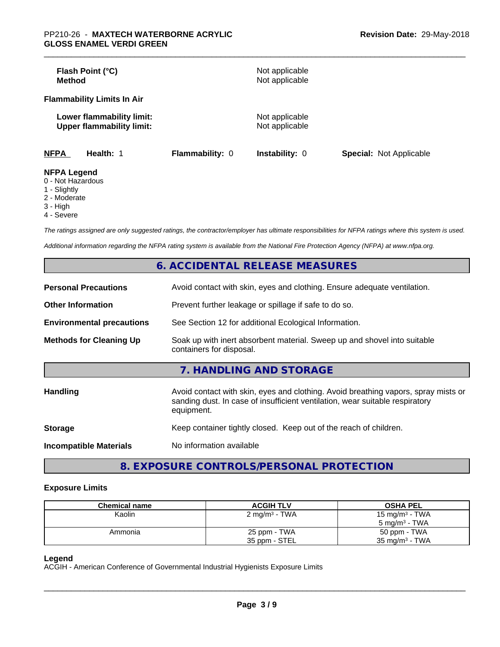| Flash Point (°C)<br>Method                                    |                        | Not applicable<br>Not applicable |                                |
|---------------------------------------------------------------|------------------------|----------------------------------|--------------------------------|
| <b>Flammability Limits In Air</b>                             |                        |                                  |                                |
| Lower flammability limit:<br><b>Upper flammability limit:</b> |                        | Not applicable<br>Not applicable |                                |
| <b>NFPA</b><br><b>Health: 1</b>                               | <b>Flammability: 0</b> | <b>Instability: 0</b>            | <b>Special: Not Applicable</b> |
| <b>NFPA Legend</b><br>0 Not Hozordoug                         |                        |                                  |                                |

- 0 Not Hazardous
- 1 Slightly
- 2 Moderate
- 3 High
- 4 Severe

*The ratings assigned are only suggested ratings, the contractor/employer has ultimate responsibilities for NFPA ratings where this system is used.*

*Additional information regarding the NFPA rating system is available from the National Fire Protection Agency (NFPA) at www.nfpa.org.*

| 6. ACCIDENTAL RELEASE MEASURES   |                                                                                                                                                                                  |  |
|----------------------------------|----------------------------------------------------------------------------------------------------------------------------------------------------------------------------------|--|
| <b>Personal Precautions</b>      | Avoid contact with skin, eyes and clothing. Ensure adequate ventilation.                                                                                                         |  |
| <b>Other Information</b>         | Prevent further leakage or spillage if safe to do so.                                                                                                                            |  |
| <b>Environmental precautions</b> | See Section 12 for additional Ecological Information.                                                                                                                            |  |
| <b>Methods for Cleaning Up</b>   | Soak up with inert absorbent material. Sweep up and shovel into suitable<br>containers for disposal.                                                                             |  |
|                                  | 7. HANDLING AND STORAGE                                                                                                                                                          |  |
| <b>Handling</b>                  | Avoid contact with skin, eyes and clothing. Avoid breathing vapors, spray mists or<br>sanding dust. In case of insufficient ventilation, wear suitable respiratory<br>equipment. |  |
| <b>Storage</b>                   | Keep container tightly closed. Keep out of the reach of children.                                                                                                                |  |
| <b>Incompatible Materials</b>    | No information available                                                                                                                                                         |  |

**8. EXPOSURE CONTROLS/PERSONAL PROTECTION**

#### **Exposure Limits**

| <b>Chemical name</b> | <b>ACGIH TLV</b>         | <b>OSHA PEL</b>           |
|----------------------|--------------------------|---------------------------|
| Kaolin               | $2 \text{ mg/m}^3$ - TWA | 15 mg/m $3$ - TWA         |
|                      |                          | 5 mg/m $3$ - TWA          |
| Ammonia              | 25 ppm - TWA             | 50 ppm - TWA              |
|                      | 35 ppm - STEL            | $35 \text{ mg/m}^3$ - TWA |

### **Legend**

ACGIH - American Conference of Governmental Industrial Hygienists Exposure Limits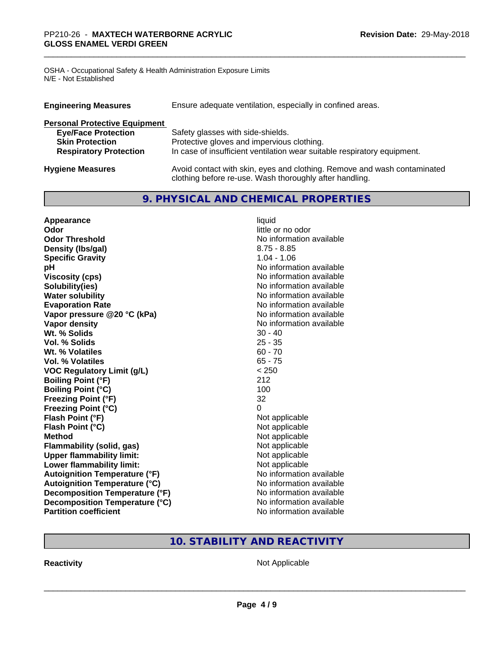OSHA - Occupational Safety & Health Administration Exposure Limits N/E - Not Established

| <b>Engineering Measures</b>          | Ensure adequate ventilation, especially in confined areas.                                                                          |  |
|--------------------------------------|-------------------------------------------------------------------------------------------------------------------------------------|--|
| <b>Personal Protective Equipment</b> |                                                                                                                                     |  |
| <b>Eye/Face Protection</b>           | Safety glasses with side-shields.                                                                                                   |  |
| <b>Skin Protection</b>               | Protective gloves and impervious clothing.                                                                                          |  |
| <b>Respiratory Protection</b>        | In case of insufficient ventilation wear suitable respiratory equipment.                                                            |  |
| <b>Hygiene Measures</b>              | Avoid contact with skin, eyes and clothing. Remove and wash contaminated<br>clothing before re-use. Wash thoroughly after handling. |  |

# **9. PHYSICAL AND CHEMICAL PROPERTIES**

| Appearance                           | liquid                   |
|--------------------------------------|--------------------------|
| Odor                                 | little or no odor        |
| <b>Odor Threshold</b>                | No information available |
| Density (Ibs/gal)                    | $8.75 - 8.85$            |
| <b>Specific Gravity</b>              | $1.04 - 1.06$            |
| pH                                   | No information available |
| <b>Viscosity (cps)</b>               | No information available |
| Solubility(ies)                      | No information available |
| <b>Water solubility</b>              | No information available |
| <b>Evaporation Rate</b>              | No information available |
| Vapor pressure @20 °C (kPa)          | No information available |
| Vapor density                        | No information available |
| Wt. % Solids                         | $30 - 40$                |
| Vol. % Solids                        | $25 - 35$                |
| Wt. % Volatiles                      | $60 - 70$                |
| Vol. % Volatiles                     | $65 - 75$                |
| <b>VOC Regulatory Limit (g/L)</b>    | < 250                    |
| <b>Boiling Point (°F)</b>            | 212                      |
| <b>Boiling Point (°C)</b>            | 100                      |
| <b>Freezing Point (°F)</b>           | 32                       |
| <b>Freezing Point (°C)</b>           | 0                        |
| Flash Point (°F)                     | Not applicable           |
| Flash Point (°C)                     | Not applicable           |
| <b>Method</b>                        | Not applicable           |
| Flammability (solid, gas)            | Not applicable           |
| <b>Upper flammability limit:</b>     | Not applicable           |
| Lower flammability limit:            | Not applicable           |
| <b>Autoignition Temperature (°F)</b> | No information available |
| <b>Autoignition Temperature (°C)</b> | No information available |
| Decomposition Temperature (°F)       | No information available |
| Decomposition Temperature (°C)       | No information available |
| <b>Partition coefficient</b>         | No information available |

# **10. STABILITY AND REACTIVITY**

**Reactivity Not Applicable** Not Applicable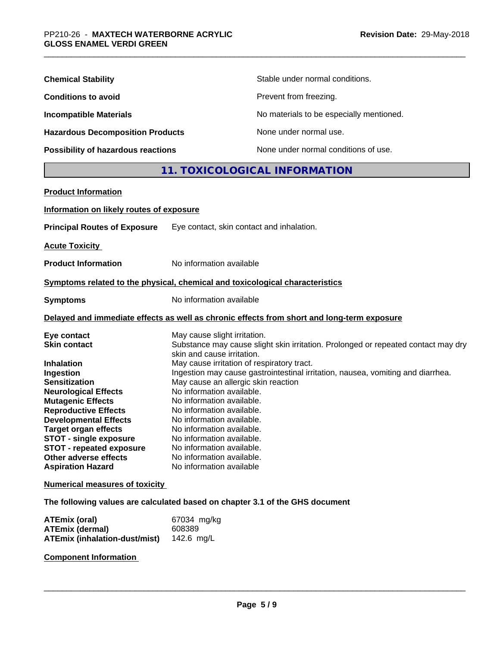| <b>Chemical Stability</b>               | Stable under normal conditions.          |
|-----------------------------------------|------------------------------------------|
| <b>Conditions to avoid</b>              | Prevent from freezing.                   |
| <b>Incompatible Materials</b>           | No materials to be especially mentioned. |
| <b>Hazardous Decomposition Products</b> | None under normal use.                   |
| Possibility of hazardous reactions      | None under normal conditions of use.     |

# **11. TOXICOLOGICAL INFORMATION**

| <b>Product Information</b>               |                                                                                                                               |
|------------------------------------------|-------------------------------------------------------------------------------------------------------------------------------|
| Information on likely routes of exposure |                                                                                                                               |
| <b>Principal Routes of Exposure</b>      | Eye contact, skin contact and inhalation.                                                                                     |
| <b>Acute Toxicity</b>                    |                                                                                                                               |
| <b>Product Information</b>               | No information available                                                                                                      |
|                                          | Symptoms related to the physical, chemical and toxicological characteristics                                                  |
| <b>Symptoms</b>                          | No information available                                                                                                      |
|                                          | Delayed and immediate effects as well as chronic effects from short and long-term exposure                                    |
| Eye contact                              | May cause slight irritation.                                                                                                  |
| <b>Skin contact</b>                      | Substance may cause slight skin irritation. Prolonged or repeated contact may dry                                             |
|                                          | skin and cause irritation.                                                                                                    |
| <b>Inhalation</b>                        | May cause irritation of respiratory tract.<br>Ingestion may cause gastrointestinal irritation, nausea, vomiting and diarrhea. |
| Ingestion<br><b>Sensitization</b>        | May cause an allergic skin reaction                                                                                           |
| <b>Neurological Effects</b>              | No information available.                                                                                                     |
| <b>Mutagenic Effects</b>                 | No information available.                                                                                                     |
| <b>Reproductive Effects</b>              | No information available.                                                                                                     |
| <b>Developmental Effects</b>             | No information available.                                                                                                     |
| <b>Target organ effects</b>              | No information available.                                                                                                     |
| <b>STOT - single exposure</b>            | No information available.                                                                                                     |
| <b>STOT - repeated exposure</b>          | No information available.                                                                                                     |
| Other adverse effects                    | No information available.                                                                                                     |
| <b>Aspiration Hazard</b>                 | No information available                                                                                                      |
| <b>Numerical measures of toxicity</b>    |                                                                                                                               |
|                                          |                                                                                                                               |

**The following values are calculated based on chapter 3.1 of the GHS document**

| <b>ATEmix (oral)</b>          | 67034 mg/kg |
|-------------------------------|-------------|
| <b>ATEmix (dermal)</b>        | 608389      |
| ATEmix (inhalation-dust/mist) | 142.6 ma/L  |

# **Component Information**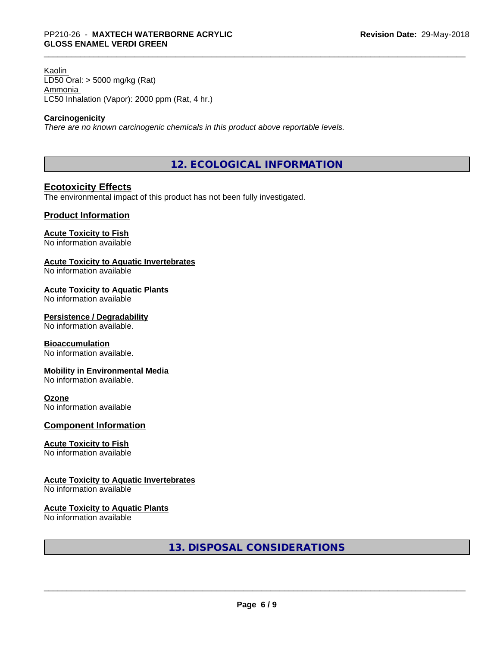Kaolin LD50 Oral: > 5000 mg/kg (Rat) Ammonia LC50 Inhalation (Vapor): 2000 ppm (Rat, 4 hr.)

#### **Carcinogenicity**

*There are no known carcinogenic chemicals in this product above reportable levels.*

**12. ECOLOGICAL INFORMATION**

# **Ecotoxicity Effects**

The environmental impact of this product has not been fully investigated.

### **Product Information**

# **Acute Toxicity to Fish**

No information available

#### **Acute Toxicity to Aquatic Invertebrates**

No information available

#### **Acute Toxicity to Aquatic Plants**

No information available

#### **Persistence / Degradability**

No information available.

#### **Bioaccumulation**

No information available.

#### **Mobility in Environmental Media**

No information available.

#### **Ozone**

No information available

#### **Component Information**

#### **Acute Toxicity to Fish**

No information available

#### **Acute Toxicity to Aquatic Invertebrates**

No information available

#### **Acute Toxicity to Aquatic Plants**

No information available

**13. DISPOSAL CONSIDERATIONS**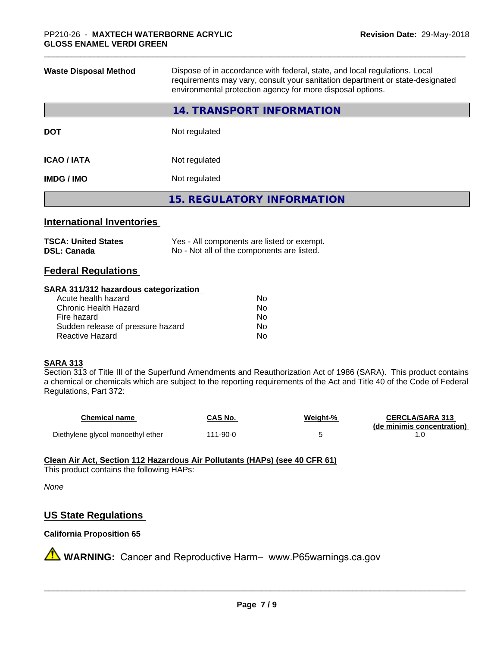| <b>Waste Disposal Method</b> | Dispose of in accordance with federal, state, and local regulations. Local<br>requirements may vary, consult your sanitation department or state-designated<br>environmental protection agency for more disposal options. |
|------------------------------|---------------------------------------------------------------------------------------------------------------------------------------------------------------------------------------------------------------------------|
|                              | <b>14. TRANSPORT INFORMATION</b>                                                                                                                                                                                          |
| <b>DOT</b>                   | Not regulated                                                                                                                                                                                                             |
| <b>ICAO / IATA</b>           | Not regulated                                                                                                                                                                                                             |
| <b>IMDG / IMO</b>            | Not regulated                                                                                                                                                                                                             |
|                              | <b>15. REGULATORY INFORMATION</b>                                                                                                                                                                                         |
|                              |                                                                                                                                                                                                                           |

# **International Inventories**

| <b>TSCA: United States</b> | Yes - All components are listed or exempt. |
|----------------------------|--------------------------------------------|
| <b>DSL: Canada</b>         | No - Not all of the components are listed. |

# **Federal Regulations**

#### **SARA 311/312 hazardous categorization**

| No |
|----|
| Nο |
| No |
| Nο |
| N٥ |
|    |

#### **SARA 313**

Section 313 of Title III of the Superfund Amendments and Reauthorization Act of 1986 (SARA). This product contains a chemical or chemicals which are subject to the reporting requirements of the Act and Title 40 of the Code of Federal Regulations, Part 372:

| <b>Chemical name</b>              | CAS No.  | Weight-% | <b>CERCLA/SARA 313</b>     |
|-----------------------------------|----------|----------|----------------------------|
|                                   |          |          | (de minimis concentration) |
| Diethylene glycol monoethyl ether | 111-90-0 |          |                            |

### **Clean Air Act,Section 112 Hazardous Air Pollutants (HAPs) (see 40 CFR 61)**

This product contains the following HAPs:

*None*

# **US State Regulations**

# **California Proposition 65**

**A** WARNING: Cancer and Reproductive Harm– www.P65warnings.ca.gov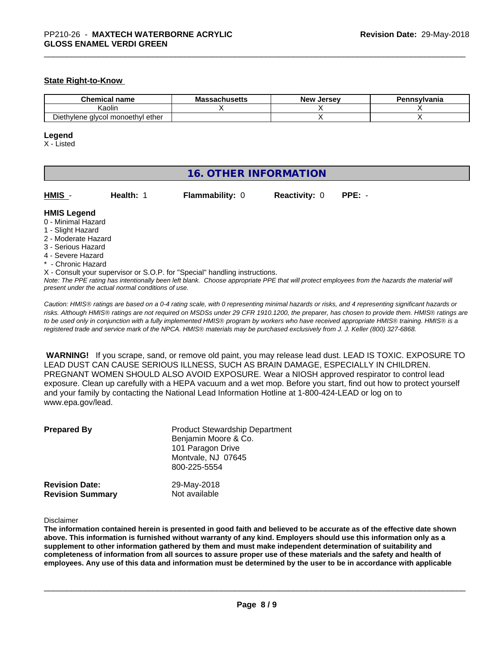## **State Right-to-Know**

| name<br>hAn<br>ліся                                    | hucatto•<br>ма<br>wocus | Jersev<br><b>New</b> | าnsvlvania |
|--------------------------------------------------------|-------------------------|----------------------|------------|
| Kaolin                                                 |                         |                      |            |
| Dieth<br>i monoethvl ether_<br>viene<br>alvcol<br>·חv∵ |                         |                      |            |

#### **Legend**

X - Listed

| <b>16. OTHER INFORMATION</b>                                                                                                                          |                                                    |                                                                            |                      |                                                                                                                                               |
|-------------------------------------------------------------------------------------------------------------------------------------------------------|----------------------------------------------------|----------------------------------------------------------------------------|----------------------|-----------------------------------------------------------------------------------------------------------------------------------------------|
| HMIS -                                                                                                                                                | Health: 1                                          | <b>Flammability: 0</b>                                                     | <b>Reactivity: 0</b> | $PPE: -$                                                                                                                                      |
| <b>HMIS Legend</b><br>0 - Minimal Hazard<br>1 - Slight Hazard<br>2 - Moderate Hazard<br>3 - Serious Hazard<br>4 - Severe Hazard<br>* - Chronic Hazard | present under the actual normal conditions of use. | X - Consult your supervisor or S.O.P. for "Special" handling instructions. |                      | Note: The PPE rating has intentionally been left blank. Choose appropriate PPE that will protect employees from the hazards the material will |

*Caution: HMISÒ ratings are based on a 0-4 rating scale, with 0 representing minimal hazards or risks, and 4 representing significant hazards or risks. Although HMISÒ ratings are not required on MSDSs under 29 CFR 1910.1200, the preparer, has chosen to provide them. HMISÒ ratings are to be used only in conjunction with a fully implemented HMISÒ program by workers who have received appropriate HMISÒ training. HMISÒ is a registered trade and service mark of the NPCA. HMISÒ materials may be purchased exclusively from J. J. Keller (800) 327-6868.*

 **WARNING!** If you scrape, sand, or remove old paint, you may release lead dust. LEAD IS TOXIC. EXPOSURE TO LEAD DUST CAN CAUSE SERIOUS ILLNESS, SUCH AS BRAIN DAMAGE, ESPECIALLY IN CHILDREN. PREGNANT WOMEN SHOULD ALSO AVOID EXPOSURE.Wear a NIOSH approved respirator to control lead exposure. Clean up carefully with a HEPA vacuum and a wet mop. Before you start, find out how to protect yourself and your family by contacting the National Lead Information Hotline at 1-800-424-LEAD or log on to www.epa.gov/lead.

| <b>Prepared By</b>      | <b>Product Stewardship Department</b><br>Benjamin Moore & Co.<br>101 Paragon Drive<br>Montvale, NJ 07645<br>800-225-5554 |
|-------------------------|--------------------------------------------------------------------------------------------------------------------------|
| <b>Revision Date:</b>   | 29-May-2018                                                                                                              |
| <b>Revision Summary</b> | Not available                                                                                                            |

#### Disclaimer

The information contained herein is presented in good faith and believed to be accurate as of the effective date shown above. This information is furnished without warranty of any kind. Employers should use this information only as a **supplement to other information gathered by them and must make independent determination of suitability and** completeness of information from all sources to assure proper use of these materials and the safety and health of employees. Any use of this data and information must be determined by the user to be in accordance with applicable